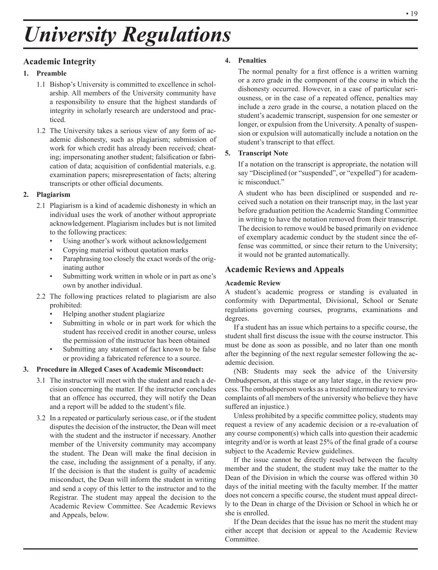# *University Regulations*

# **Academic Integrity**

#### **1. Preamble**

- 1.1 Bishop's University is committed to excellence in scholarship. All members of the University community have a responsibility to ensure that the highest standards of integrity in scholarly research are understood and practiced.
- 1.2 The University takes a serious view of any form of academic dishonesty, such as plagiarism; submission of work for which credit has already been received; cheating; impersonating another student; falsification or fabrication of data; acquisition of confidential materials, e.g. examination papers; misrepresentation of facts; altering transcripts or other official documents.

#### **2. Plagiarism**

- 2.1 Plagiarism is a kind of academic dishonesty in which an individual uses the work of another without appropriate acknowledgement. Plagiarism includes but is not limited to the following practices:
	- Using another's work without acknowledgement
	- Copying material without quotation marks
	- Paraphrasing too closely the exact words of the originating author
	- Submitting work written in whole or in part as one's own by another individual.
- 2.2 The following practices related to plagiarism are also prohibited:
	- Helping another student plagiarize
	- Submitting in whole or in part work for which the student has received credit in another course, unless the permission of the instructor has been obtained
	- Submitting any statement of fact known to be false or providing a fabricated reference to a source.

# **3. Procedure in Alleged Cases of Academic Misconduct:**

- 3.1 The instructor will meet with the student and reach a decision concerning the matter. If the instructor concludes that an offence has occurred, they will notify the Dean and a report will be added to the student's file.
- 3.2 In a repeated or particularly serious case, or if the student disputes the decision of the instructor, the Dean will meet with the student and the instructor if necessary. Another member of the University community may accompany the student. The Dean will make the final decision in the case, including the assignment of a penalty, if any. If the decision is that the student is guilty of academic misconduct, the Dean will inform the student in writing and send a copy of this letter to the instructor and to the Registrar. The student may appeal the decision to the Academic Review Committee. See Academic Reviews and Appeals, below.

#### **4. Penalties**

The normal penalty for a first offence is a written warning or a zero grade in the component of the course in which the dishonesty occurred. However, in a case of particular seriousness, or in the case of a repeated offence, penalties may include a zero grade in the course, a notation placed on the student's academic transcript, suspension for one semester or longer, or expulsion from the University. A penalty of suspension or expulsion will automatically include a notation on the student's transcript to that effect.

#### **5. Transcript Note**

If a notation on the transcript is appropriate, the notation will say "Disciplined (or "suspended", or "expelled") for academic misconduct."

A student who has been disciplined or suspended and received such a notation on their transcript may, in the last year before graduation petition the Academic Standing Committee in writing to have the notation removed from their transcript. The decision to remove would be based primarily on evidence of exemplary academic conduct by the student since the offense was committed, or since their return to the University; it would not be granted automatically.

# **Academic Reviews and Appeals**

#### **Academic Review**

A student's academic progress or standing is evaluated in conformity with Departmental, Divisional, School or Senate regulations governing courses, programs, examinations and degrees.

If a student has an issue which pertains to a specific course, the student shall first discuss the issue with the course instructor. This must be done as soon as possible, and no later than one month after the beginning of the next regular semester following the academic decision.

(NB: Students may seek the advice of the University Ombudsperson, at this stage or any later stage, in the review process. The ombudsperson works as a trusted intermediary to review complaints of all members of the university who believe they have suffered an injustice.)

Unless prohibited by a specific committee policy, students may request a review of any academic decision or a re-evaluation of any course component(s) which calls into question their academic integrity and/or is worth at least 25% of the final grade of a course subject to the Academic Review guidelines.

If the issue cannot be directly resolved between the faculty member and the student, the student may take the matter to the Dean of the Division in which the course was offered within 30 days of the initial meeting with the faculty member. If the matter does not concern a specific course, the student must appeal directly to the Dean in charge of the Division or School in which he or she is enrolled.

If the Dean decides that the issue has no merit the student may either accept that decision or appeal to the Academic Review Committee.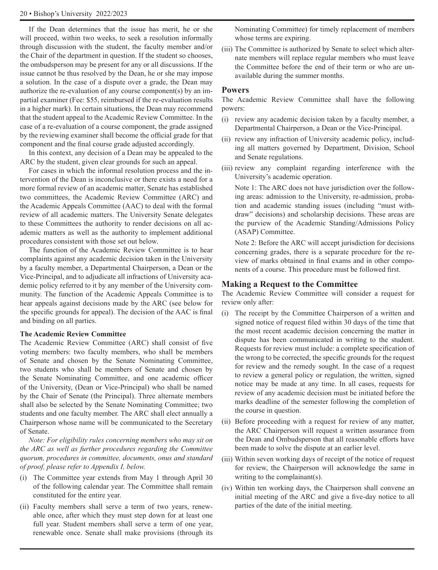If the Dean determines that the issue has merit, he or she will proceed, within two weeks, to seek a resolution informally through discussion with the student, the faculty member and/or the Chair of the department in question. If the student so chooses, the ombudsperson may be present for any or all discussions. If the issue cannot be thus resolved by the Dean, he or she may impose a solution. In the case of a dispute over a grade, the Dean may authorize the re-evaluation of any course component(s) by an impartial examiner (Fee: \$55, reimbursed if the re-evaluation results in a higher mark). In certain situations, the Dean may recommend that the student appeal to the Academic Review Committee. In the case of a re-evaluation of a course component, the grade assigned by the reviewing examiner shall become the official grade for that component and the final course grade adjusted accordingly.

In this context, any decision of a Dean may be appealed to the ARC by the student, given clear grounds for such an appeal.

For cases in which the informal resolution process and the intervention of the Dean is inconclusive or there exists a need for a more formal review of an academic matter, Senate has established two committees, the Academic Review Committee (ARC) and the Academic Appeals Committee (AAC) to deal with the formal review of all academic matters. The University Senate delegates to these Committees the authority to render decisions on all academic matters as well as the authority to implement additional procedures consistent with those set out below.

The function of the Academic Review Committee is to hear complaints against any academic decision taken in the University by a faculty member, a Departmental Chairperson, a Dean or the Vice-Principal, and to adjudicate all infractions of University academic policy referred to it by any member of the University community. The function of the Academic Appeals Committee is to hear appeals against decisions made by the ARC (see below for the specific grounds for appeal). The decision of the AAC is final and binding on all parties.

#### **The Academic Review Committee**

The Academic Review Committee (ARC) shall consist of five voting members: two faculty members, who shall be members of Senate and chosen by the Senate Nominating Committee, two students who shall be members of Senate and chosen by the Senate Nominating Committee, and one academic officer of the University, (Dean or Vice-Principal) who shall be named by the Chair of Senate (the Principal). Three alternate members shall also be selected by the Senate Nominating Committee; two students and one faculty member. The ARC shall elect annually a Chairperson whose name will be communicated to the Secretary of Senate.

*Note: For eligibility rules concerning members who may sit on the ARC as well as further procedures regarding the Committee quorum, procedures in committee, documents, onus and standard of proof, please refer to Appendix I, below.*

- (i) The Committee year extends from May 1 through April 30 of the following calendar year. The Committee shall remain constituted for the entire year.
- (ii) Faculty members shall serve a term of two years, renewable once, after which they must step down for at least one full year. Student members shall serve a term of one year, renewable once. Senate shall make provisions (through its

Nominating Committee) for timely replacement of members whose terms are expiring.

(iii) The Committee is authorized by Senate to select which alternate members will replace regular members who must leave the Committee before the end of their term or who are unavailable during the summer months.

#### **Powers**

The Academic Review Committee shall have the following powers:

- (i) review any academic decision taken by a faculty member, a Departmental Chairperson, a Dean or the Vice-Principal.
- (ii) review any infraction of University academic policy, including all matters governed by Department, Division, School and Senate regulations.
- (iii) review any complaint regarding interference with the University's academic operation.

Note 1: The ARC does not have jurisdiction over the following areas: admission to the University, re-admission, probation and academic standing issues (including "must withdraw" decisions) and scholarship decisions. These areas are the purview of the Academic Standing/Admissions Policy (ASAP) Committee.

Note 2: Before the ARC will accept jurisdiction for decisions concerning grades, there is a separate procedure for the review of marks obtained in final exams and in other components of a course. This procedure must be followed first.

#### **Making a Request to the Committee**

The Academic Review Committee will consider a request for review only after:

- (i) The receipt by the Committee Chairperson of a written and signed notice of request filed within 30 days of the time that the most recent academic decision concerning the matter in dispute has been communicated in writing to the student. Requests for review must include: a complete specification of the wrong to be corrected, the specific grounds for the request for review and the remedy sought. In the case of a request to review a general policy or regulation, the written, signed notice may be made at any time. In all cases, requests for review of any academic decision must be initiated before the marks deadline of the semester following the completion of the course in question.
- (ii) Before proceeding with a request for review of any matter, the ARC Chairperson will request a written assurance from the Dean and Ombudsperson that all reasonable efforts have been made to solve the dispute at an earlier level.
- (iii) Within seven working days of receipt of the notice of request for review, the Chairperson will acknowledge the same in writing to the complainant(s).
- (iv) Within ten working days, the Chairperson shall convene an initial meeting of the ARC and give a five-day notice to all parties of the date of the initial meeting.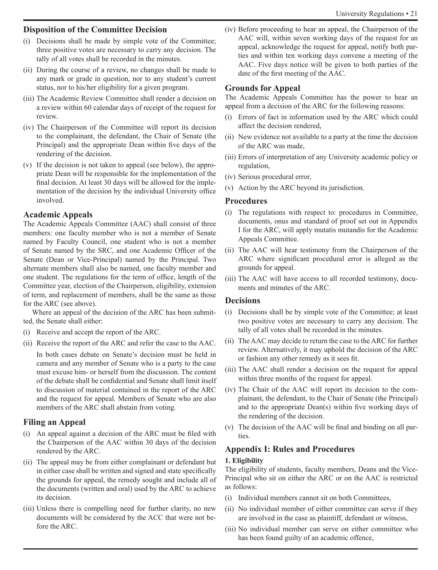### **Disposition of the Committee Decision**

- (i) Decisions shall be made by simple vote of the Committee; three positive votes are necessary to carry any decision. The tally of all votes shall be recorded in the minutes.
- (ii) During the course of a review, no changes shall be made to any mark or grade in question, nor to any student's current status, nor to his/her eligibility for a given program.
- (iii) The Academic Review Committee shall render a decision on a review within 60 calendar days of receipt of the request for review.
- (iv) The Chairperson of the Committee will report its decision to the complainant, the defendant, the Chair of Senate (the Principal) and the appropriate Dean within five days of the rendering of the decision.
- (v) If the decision is not taken to appeal (see below), the appropriate Dean will be responsible for the implementation of the final decision. At least 30 days will be allowed for the implementation of the decision by the individual University office involved.

# **Academic Appeals**

The Academic Appeals Committee (AAC) shall consist of three members: one faculty member who is not a member of Senate named by Faculty Council, one student who is not a member of Senate named by the SRC, and one Academic Officer of the Senate (Dean or Vice-Principal) named by the Principal. Two alternate members shall also be named, one faculty member and one student. The regulations for the term of office, length of the Committee year, election of the Chairperson, eligibility, extension of term, and replacement of members, shall be the same as those for the ARC (see above).

Where an appeal of the decision of the ARC has been submitted, the Senate shall either:

- (i) Receive and accept the report of the ARC.
- (ii) Receive the report of the ARC and refer the case to the AAC. In both cases debate on Senate's decision must be held in camera and any member of Senate who is a party to the case must excuse him- or herself from the discussion. The content of the debate shall be confidential and Senate shall limit itself to discussion of material contained in the report of the ARC and the request for appeal. Members of Senate who are also members of the ARC shall abstain from voting.

# **Filing an Appeal**

- (i) An appeal against a decision of the ARC must be filed with the Chairperson of the AAC within 30 days of the decision rendered by the ARC.
- (ii) The appeal may be from either complainant or defendant but in either case shall be written and signed and state specifically the grounds for appeal, the remedy sought and include all of the documents (written and oral) used by the ARC to achieve its decision.
- (iii) Unless there is compelling need for further clarity, no new documents will be considered by the ACC that were not before the ARC.

(iv) Before proceeding to hear an appeal, the Chairperson of the AAC will, within seven working days of the request for an appeal, acknowledge the request for appeal, notify both parties and within ten working days convene a meeting of the AAC. Five days notice will be given to both parties of the date of the first meeting of the AAC.

# **Grounds for Appeal**

The Academic Appeals Committee has the power to hear an appeal from a decision of the ARC for the following reasons:

- (i) Errors of fact in information used by the ARC which could affect the decision rendered,
- (ii) New evidence not available to a party at the time the decision of the ARC was made,
- (iii) Errors of interpretation of any University academic policy or regulation,
- (iv) Serious procedural error,
- (v) Action by the ARC beyond its jurisdiction.

# **Procedures**

- (i) The regulations with respect to: procedures in Committee, documents, onus and standard of proof set out in Appendix I for the ARC, will apply mutatis mutandis for the Academic Appeals Committee.
- (ii) The AAC will hear testimony from the Chairperson of the ARC where significant procedural error is alleged as the grounds for appeal.
- (iii) The AAC will have access to all recorded testimony, documents and minutes of the ARC.

# **Decisions**

- (i) Decisions shall be by simple vote of the Committee; at least two positive votes are necessary to carry any decision. The tally of all votes shall be recorded in the minutes.
- (ii) The AAC may decide to return the case to the ARC for further review. Alternatively, it may uphold the decision of the ARC or fashion any other remedy as it sees fit.
- (iii) The AAC shall render a decision on the request for appeal within three months of the request for appeal.
- (iv) The Chair of the AAC will report its decision to the complainant, the defendant, to the Chair of Senate (the Principal) and to the appropriate Dean(s) within five working days of the rendering of the decision.
- (v) The decision of the AAC will be final and binding on all parties.

# **Appendix I: Rules and Procedures**

# **1. Eligibility**

The eligibility of students, faculty members, Deans and the Vice-Principal who sit on either the ARC or on the AAC is restricted as follows:

- (i) Individual members cannot sit on both Committees,
- (ii) No individual member of either committee can serve if they are involved in the case as plaintiff, defendant or witness,
- (iii) No individual member can serve on either committee who has been found guilty of an academic offence,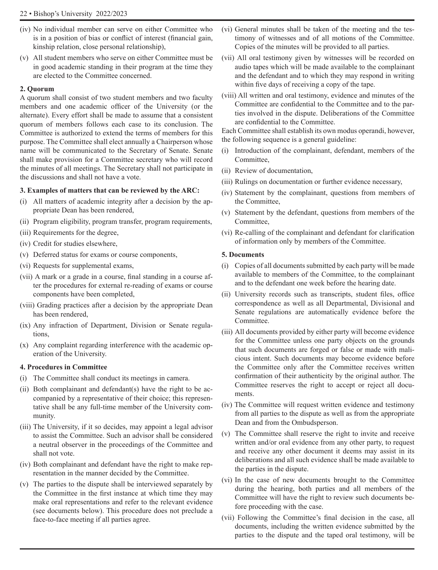- (iv) No individual member can serve on either Committee who is in a position of bias or conflict of interest (financial gain, kinship relation, close personal relationship),
- (v) All student members who serve on either Committee must be in good academic standing in their program at the time they are elected to the Committee concerned.

#### **2. Quorum**

A quorum shall consist of two student members and two faculty members and one academic officer of the University (or the alternate). Every effort shall be made to assume that a consistent quorum of members follows each case to its conclusion. The Committee is authorized to extend the terms of members for this purpose. The Committee shall elect annually a Chairperson whose name will be communicated to the Secretary of Senate. Senate shall make provision for a Committee secretary who will record the minutes of all meetings. The Secretary shall not participate in the discussions and shall not have a vote.

#### **3. Examples of matters that can be reviewed by the ARC:**

- (i) All matters of academic integrity after a decision by the appropriate Dean has been rendered,
- (ii) Program eligibility, program transfer, program requirements,
- (iii) Requirements for the degree,
- (iv) Credit for studies elsewhere,
- (v) Deferred status for exams or course components,
- (vi) Requests for supplemental exams,
- (vii) A mark or a grade in a course, final standing in a course after the procedures for external re-reading of exams or course components have been completed,
- (viii) Grading practices after a decision by the appropriate Dean has been rendered,
- (ix) Any infraction of Department, Division or Senate regulations,
- (x) Any complaint regarding interference with the academic operation of the University.

#### **4. Procedures in Committee**

- (i) The Committee shall conduct its meetings in camera.
- (ii) Both complainant and defendant(s) have the right to be accompanied by a representative of their choice; this representative shall be any full-time member of the University community.
- (iii) The University, if it so decides, may appoint a legal advisor to assist the Committee. Such an advisor shall be considered a neutral observer in the proceedings of the Committee and shall not vote.
- (iv) Both complainant and defendant have the right to make representation in the manner decided by the Committee.
- (v) The parties to the dispute shall be interviewed separately by the Committee in the first instance at which time they may make oral representations and refer to the relevant evidence (see documents below). This procedure does not preclude a face-to-face meeting if all parties agree.
- (vi) General minutes shall be taken of the meeting and the testimony of witnesses and of all motions of the Committee. Copies of the minutes will be provided to all parties.
- (vii) All oral testimony given by witnesses will be recorded on audio tapes which will be made available to the complainant and the defendant and to which they may respond in writing within five days of receiving a copy of the tape.
- (viii) All written and oral testimony, evidence and minutes of the Committee are confidential to the Committee and to the parties involved in the dispute. Deliberations of the Committee are confidential to the Committee.

Each Committee shall establish its own modus operandi, however, the following sequence is a general guideline:

- (i) Introduction of the complainant, defendant, members of the Committee,
- (ii) Review of documentation,
- (iii) Rulings on documentation or further evidence necessary,
- (iv) Statement by the complainant, questions from members of the Committee,
- (v) Statement by the defendant, questions from members of the Committee,
- (vi) Re-calling of the complainant and defendant for clarification of information only by members of the Committee.

#### **5. Documents**

- (i) Copies of all documents submitted by each party will be made available to members of the Committee, to the complainant and to the defendant one week before the hearing date.
- (ii) University records such as transcripts, student files, office correspondence as well as all Departmental, Divisional and Senate regulations are automatically evidence before the Committee.
- (iii) All documents provided by either party will become evidence for the Committee unless one party objects on the grounds that such documents are forged or false or made with malicious intent. Such documents may become evidence before the Committee only after the Committee receives written confirmation of their authenticity by the original author. The Committee reserves the right to accept or reject all documents.
- (iv) The Committee will request written evidence and testimony from all parties to the dispute as well as from the appropriate Dean and from the Ombudsperson.
- (v) The Committee shall reserve the right to invite and receive written and/or oral evidence from any other party, to request and receive any other document it deems may assist in its deliberations and all such evidence shall be made available to the parties in the dispute.
- (vi) In the case of new documents brought to the Committee during the hearing, both parties and all members of the Committee will have the right to review such documents before proceeding with the case.
- (vii) Following the Committee's final decision in the case, all documents, including the written evidence submitted by the parties to the dispute and the taped oral testimony, will be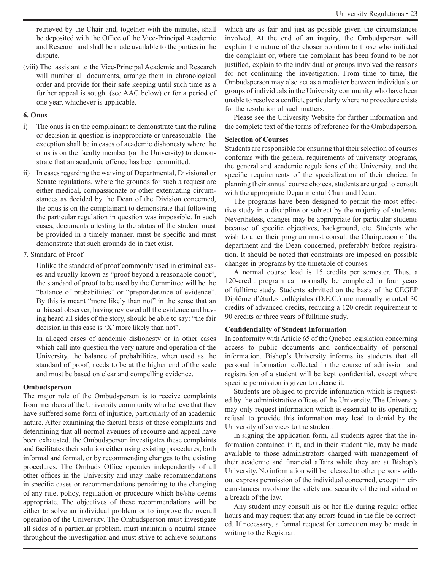retrieved by the Chair and, together with the minutes, shall be deposited with the Office of the Vice-Principal Academic and Research and shall be made available to the parties in the dispute.

(viii) The assistant to the Vice-Principal Academic and Research will number all documents, arrange them in chronological order and provide for their safe keeping until such time as a further appeal is sought (see AAC below) or for a period of one year, whichever is applicable.

#### **6. Onus**

- i) The onus is on the complainant to demonstrate that the ruling or decision in question is inappropriate or unreasonable. The exception shall be in cases of academic dishonesty where the onus is on the faculty member (or the University) to demonstrate that an academic offence has been committed.
- ii) In cases regarding the waiving of Departmental, Divisional or Senate regulations, where the grounds for such a request are either medical, compassionate or other extenuating circumstances as decided by the Dean of the Division concerned, the onus is on the complainant to demonstrate that following the particular regulation in question was impossible. In such cases, documents attesting to the status of the student must be provided in a timely manner, must be specific and must demonstrate that such grounds do in fact exist.
- 7. Standard of Proof

Unlike the standard of proof commonly used in criminal cases and usually known as "proof beyond a reasonable doubt", the standard of proof to be used by the Committee will be the "balance of probabilities" or "preponderance of evidence". By this is meant "more likely than not" in the sense that an unbiased observer, having reviewed all the evidence and having heard all sides of the story, should be able to say: "the fair decision in this case is 'X' more likely than not".

In alleged cases of academic dishonesty or in other cases which call into question the very nature and operation of the University, the balance of probabilities, when used as the standard of proof, needs to be at the higher end of the scale and must be based on clear and compelling evidence.

#### **Ombudsperson**

The major role of the Ombudsperson is to receive complaints from members of the University community who believe that they have suffered some form of injustice, particularly of an academic nature. After examining the factual basis of these complaints and determining that all normal avenues of recourse and appeal have been exhausted, the Ombudsperson investigates these complaints and facilitates their solution either using existing procedures, both informal and formal, or by recommending changes to the existing procedures. The Ombuds Office operates independently of all other offices in the University and may make recommendations in specific cases or recommendations pertaining to the changing of any rule, policy, regulation or procedure which he/she deems appropriate. The objectives of these recommendations will be either to solve an individual problem or to improve the overall operation of the University. The Ombudsperson must investigate all sides of a particular problem, must maintain a neutral stance throughout the investigation and must strive to achieve solutions which are as fair and just as possible given the circumstances involved. At the end of an inquiry, the Ombudsperson will explain the nature of the chosen solution to those who initiated the complaint or, where the complaint has been found to be not justified, explain to the individual or groups involved the reasons for not continuing the investigation. From time to time, the Ombudsperson may also act as a mediator between individuals or groups of individuals in the University community who have been unable to resolve a conflict, particularly where no procedure exists for the resolution of such matters.

Please see the University Website for further information and the complete text of the terms of reference for the Ombudsperson.

#### **Selection of Courses**

Students are responsible for ensuring that their selection of courses conforms with the general requirements of university programs, the general and academic regulations of the University, and the specific requirements of the specialization of their choice. In planning their annual course choices, students are urged to consult with the appropriate Departmental Chair and Dean.

The programs have been designed to permit the most effective study in a discipline or subject by the majority of students. Nevertheless, changes may be appropriate for particular students because of specific objectives, background, etc. Students who wish to alter their program must consult the Chairperson of the department and the Dean concerned, preferably before registration. It should be noted that constraints are imposed on possible changes in programs by the timetable of courses.

A normal course load is 15 credits per semester. Thus, a 120-credit program can normally be completed in four years of fulltime study. Students admitted on the basis of the CEGEP Diplôme d'études collégiales (D.E.C.) are normally granted 30 credits of advanced credits, reducing a 120 credit requirement to 90 credits or three years of fulltime study.

#### **Confidentiality of Student Information**

In conformity with Article 65 of the Quebec legislation concerning access to public documents and confidentiality of personal information, Bishop's University informs its students that all personal information collected in the course of admission and registration of a student will be kept confidential, except where specific permission is given to release it.

Students are obliged to provide information which is requested by the administrative offices of the University. The University may only request information which is essential to its operation; refusal to provide this information may lead to denial by the University of services to the student.

In signing the application form, all students agree that the information contained in it, and in their student file, may be made available to those administrators charged with management of their academic and financial affairs while they are at Bishop's University. No information will be released to other persons without express permission of the individual concerned, except in circumstances involving the safety and security of the individual or a breach of the law.

Any student may consult his or her file during regular office hours and may request that any errors found in the file be corrected. If necessary, a formal request for correction may be made in writing to the Registrar.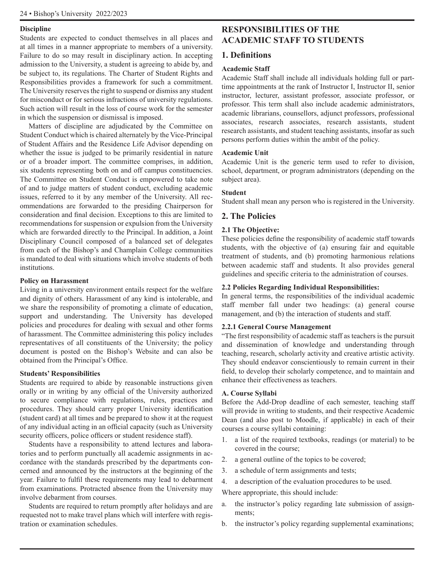#### **Discipline**

Students are expected to conduct themselves in all places and at all times in a manner appropriate to members of a university. Failure to do so may result in disciplinary action. In accepting admission to the University, a student is agreeing to abide by, and be subject to, its regulations. The Charter of Student Rights and Responsibilities provides a framework for such a commitment. The University reserves the right to suspend or dismiss any student for misconduct or for serious infractions of university regulations. Such action will result in the loss of course work for the semester in which the suspension or dismissal is imposed.

Matters of discipline are adjudicated by the Committee on Student Conduct which is chaired alternately by the Vice-Principal of Student Affairs and the Residence Life Advisor depending on whether the issue is judged to be primarily residential in nature or of a broader import. The committee comprises, in addition, six students representing both on and off campus constituencies. The Committee on Student Conduct is empowered to take note of and to judge matters of student conduct, excluding academic issues, referred to it by any member of the University. All recommendations are forwarded to the presiding Chairperson for consideration and final decision. Exceptions to this are limited to recommendations for suspension or expulsion from the University which are forwarded directly to the Principal. In addition, a Joint Disciplinary Council composed of a balanced set of delegates from each of the Bishop's and Champlain College communities is mandated to deal with situations which involve students of both institutions.

#### **Policy on Harassment**

Living in a university environment entails respect for the welfare and dignity of others. Harassment of any kind is intolerable, and we share the responsibility of promoting a climate of education, support and understanding. The University has developed policies and procedures for dealing with sexual and other forms of harassment. The Committee administering this policy includes representatives of all constituents of the University; the policy document is posted on the Bishop's Website and can also be obtained from the Principal's Office.

#### **Students' Responsibilities**

Students are required to abide by reasonable instructions given orally or in writing by any official of the University authorized to secure compliance with regulations, rules, practices and procedures. They should carry proper University identification (student card) at all times and be prepared to show it at the request of any individual acting in an official capacity (such as University security officers, police officers or student residence staff).

Students have a responsibility to attend lectures and laboratories and to perform punctually all academic assignments in accordance with the standards prescribed by the departments concerned and announced by the instructors at the beginning of the year. Failure to fulfil these requirements may lead to debarment from examinations. Protracted absence from the University may involve debarment from courses.

Students are required to return promptly after holidays and are requested not to make travel plans which will interfere with registration or examination schedules.

# **RESPONSIBILITIES OF THE ACADEMIC STAFF TO STUDENTS**

# **1. Definitions**

#### **Academic Staff**

Academic Staff shall include all individuals holding full or parttime appointments at the rank of Instructor I, Instructor II, senior instructor, lecturer, assistant professor, associate professor, or professor. This term shall also include academic administrators, academic librarians, counsellors, adjunct professors, professional associates, research associates, research assistants, student research assistants, and student teaching assistants, insofar as such persons perform duties within the ambit of the policy.

#### **Academic Unit**

Academic Unit is the generic term used to refer to division, school, department, or program administrators (depending on the subject area).

#### **Student**

Student shall mean any person who is registered in the University.

# **2. The Policies**

#### **2.1 The Objective:**

These policies define the responsibility of academic staff towards students, with the objective of (a) ensuring fair and equitable treatment of students, and (b) promoting harmonious relations between academic staff and students. It also provides general guidelines and specific criteria to the administration of courses.

#### **2.2 Policies Regarding Individual Responsibilities:**

In general terms, the responsibilities of the individual academic staff member fall under two headings: (a) general course management, and (b) the interaction of students and staff.

#### **2.2.1 General Course Management**

"The first responsibility of academic staff as teachers is the pursuit and dissemination of knowledge and understanding through teaching, research, scholarly activity and creative artistic activity. They should endeavor conscientiously to remain current in their field, to develop their scholarly competence, and to maintain and enhance their effectiveness as teachers.

#### **A. Course Syllabi**

Before the Add-Drop deadline of each semester, teaching staff will provide in writing to students, and their respective Academic Dean (and also post to Moodle, if applicable) in each of their courses a course syllabi containing:

- 1. a list of the required textbooks, readings (or material) to be covered in the course;
- 2. a general outline of the topics to be covered;
- 3. a schedule of term assignments and tests;
- 4. a description of the evaluation procedures to be used.

Where appropriate, this should include:

- a. the instructor's policy regarding late submission of assignments;
- b. the instructor's policy regarding supplemental examinations;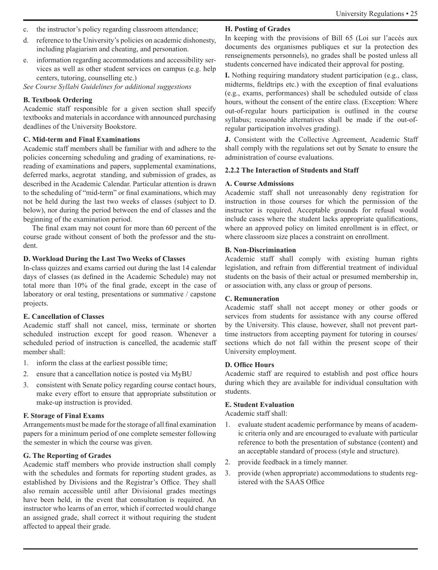- c. the instructor's policy regarding classroom attendance;
- d. reference to the University's policies on academic dishonesty, including plagiarism and cheating, and personation.
- e. information regarding accommodations and accessibility services as well as other student services on campus (e.g. help centers, tutoring, counselling etc.)

*See Course Syllabi Guidelines for additional suggestions*

#### **B. Textbook Ordering**

Academic staff responsible for a given section shall specify textbooks and materials in accordance with announced purchasing deadlines of the University Bookstore.

#### **C. Mid-term and Final Examinations**

Academic staff members shall be familiar with and adhere to the policies concerning scheduling and grading of examinations, rereading of examinations and papers, supplemental examinations, deferred marks, aegrotat standing, and submission of grades, as described in the Academic Calendar. Particular attention is drawn to the scheduling of "mid-term" or final examinations, which may not be held during the last two weeks of classes (subject to D. below), nor during the period between the end of classes and the beginning of the examination period.

The final exam may not count for more than 60 percent of the course grade without consent of both the professor and the student.

#### **D. Workload During the Last Two Weeks of Classes**

In-class quizzes and exams carried out during the last 14 calendar days of classes (as defined in the Academic Schedule) may not total more than 10% of the final grade, except in the case of laboratory or oral testing, presentations or summative / capstone projects.

#### **E. Cancellation of Classes**

Academic staff shall not cancel, miss, terminate or shorten scheduled instruction except for good reason. Whenever a scheduled period of instruction is cancelled, the academic staff member shall:

- 1. inform the class at the earliest possible time;
- 2. ensure that a cancellation notice is posted via MyBU
- 3. consistent with Senate policy regarding course contact hours, make every effort to ensure that appropriate substitution or make-up instruction is provided.

#### **F. Storage of Final Exams**

Arrangements must be made for the storage of all final examination papers for a minimum period of one complete semester following the semester in which the course was given.

#### **G. The Reporting of Grades**

Academic staff members who provide instruction shall comply with the schedules and formats for reporting student grades, as established by Divisions and the Registrar's Office. They shall also remain accessible until after Divisional grades meetings have been held, in the event that consultation is required. An instructor who learns of an error, which if corrected would change an assigned grade, shall correct it without requiring the student affected to appeal their grade.

#### **H. Posting of Grades**

In keeping with the provisions of Bill 65 (Loi sur l'accès aux documents des organismes publiques et sur la protection des renseignements personnels), no grades shall be posted unless all students concerned have indicated their approval for posting.

**I.** Nothing requiring mandatory student participation (e.g., class, midterms, fieldtrips etc.) with the exception of final evaluations (e.g., exams, performances) shall be scheduled outside of class hours, without the consent of the entire class. (Exception: Where out-of-regular hours participation is outlined in the course syllabus; reasonable alternatives shall be made if the out-ofregular participation involves grading).

**J.** Consistent with the Collective Agreement, Academic Staff shall comply with the regulations set out by Senate to ensure the administration of course evaluations.

#### **2.2.2 The Interaction of Students and Staff**

#### **A. Course Admissions**

Academic staff shall not unreasonably deny registration for instruction in those courses for which the permission of the instructor is required. Acceptable grounds for refusal would include cases where the student lacks appropriate qualifications, where an approved policy on limited enrollment is in effect, or where classroom size places a constraint on enrollment.

#### **B. Non-Discrimination**

Academic staff shall comply with existing human rights legislation, and refrain from differential treatment of individual students on the basis of their actual or presumed membership in, or association with, any class or group of persons.

#### **C. Remuneration**

Academic staff shall not accept money or other goods or services from students for assistance with any course offered by the University. This clause, however, shall not prevent parttime instructors from accepting payment for tutoring in courses/ sections which do not fall within the present scope of their University employment.

#### **D. Office Hours**

Academic staff are required to establish and post office hours during which they are available for individual consultation with students.

#### **E. Student Evaluation**

Academic staff shall:

- 1. evaluate student academic performance by means of academic criteria only and are encouraged to evaluate with particular reference to both the presentation of substance (content) and an acceptable standard of process (style and structure).
- 2. provide feedback in a timely manner.
- 3. provide (when appropriate) accommodations to students registered with the SAAS Office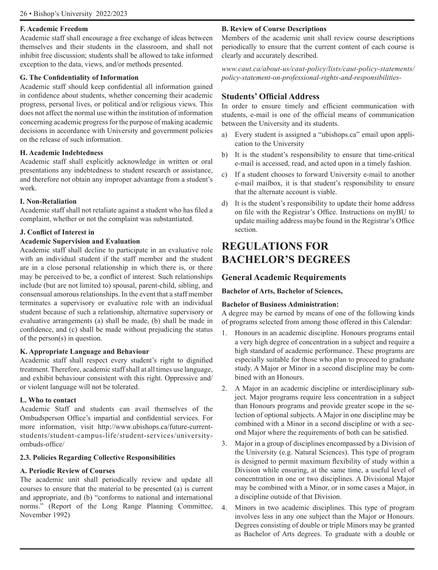#### **F. Academic Freedom**

Academic staff shall encourage a free exchange of ideas between themselves and their students in the classroom, and shall not inhibit free discussion; students shall be allowed to take informed exception to the data, views, and/or methods presented.

#### **G. The Confidentiality of Information**

Academic staff should keep confidential all information gained in confidence about students, whether concerning their academic progress, personal lives, or political and/or religious views. This does not affect the normal use within the institution of information concerning academic progress for the purpose of making academic decisions in accordance with University and government policies on the release of such information.

#### **H. Academic Indebtedness**

Academic staff shall explicitly acknowledge in written or oral presentations any indebtedness to student research or assistance, and therefore not obtain any improper advantage from a student's work.

#### **I. Non-Retaliation**

Academic staff shall not retaliate against a student who has filed a complaint, whether or not the complaint was substantiated.

#### **J. Conflict of Interest in**

#### **Academic Supervision and Evaluation**

Academic staff shall decline to participate in an evaluative role with an individual student if the staff member and the student are in a close personal relationship in which there is, or there may be perceived to be, a conflict of interest. Such relationships include (but are not limited to) spousal, parent-child, sibling, and consensual amorous relationships. In the event that a staff member terminates a supervisory or evaluative role with an individual student because of such a relationship, alternative supervisory or evaluative arrangements (a) shall be made, (b) shall be made in confidence, and (c) shall be made without prejudicing the status of the person(s) in question.

#### **K. Appropriate Language and Behaviour**

Academic staff shall respect every student's right to dignified treatment. Therefore, academic staff shall at all times use language, and exhibit behaviour consistent with this right. Oppressive and/ or violent language will not be tolerated.

#### **L. Who to contact**

Academic Staff and students can avail themselves of the Ombudsperson Office's impartial and confidential services. For more information, visit http://www.ubishops.ca/future-currentstudents/student-campus-life/student-services/universityombuds-office/

#### **2.3. Policies Regarding Collective Responsibilities**

#### **A. Periodic Review of Courses**

The academic unit shall periodically review and update all courses to ensure that the material to be presented (a) is current and appropriate, and (b) "conforms to national and international norms." (Report of the Long Range Planning Committee, November 1992)

#### **B. Review of Course Descriptions**

Members of the academic unit shall review course descriptions periodically to ensure that the current content of each course is clearly and accurately described.

*www.caut.ca/about-us/caut-policy/lists/caut-policy-statements/ policy-statement-on-professional-rights-and-responsibilities-*

### **Students' Official Address**

In order to ensure timely and efficient communication with students, e-mail is one of the official means of communication between the University and its students.

- a) Every student is assigned a "ubishops.ca" email upon application to the University
- b) It is the student's responsibility to ensure that time-critical e-mail is accessed, read, and acted upon in a timely fashion.
- c) If a student chooses to forward University e-mail to another e-mail mailbox, it is that student's responsibility to ensure that the alternate account is viable.
- d) It is the student's responsibility to update their home address on file with the Registrar's Office. Instructions on myBU to update mailing address maybe found in the Registrar's Office section.

# **REGULATIONS FOR BACHELOR'S DEGREES**

# **General Academic Requirements**

**Bachelor of Arts, Bachelor of Sciences,** 

#### **Bachelor of Business Administration:**

A degree may be earned by means of one of the following kinds of programs selected from among those offered in this Calendar:

- 1. Honours in an academic discipline. Honours programs entail a very high degree of concentration in a subject and require a high standard of academic performance. These programs are especially suitable for those who plan to proceed to graduate study. A Major or Minor in a second discipline may be combined with an Honours.
- 2. A Major in an academic discipline or interdisciplinary subject. Major programs require less concentration in a subject than Honours programs and provide greater scope in the selection of optional subjects. A Major in one discipline may be combined with a Minor in a second discipline or with a second Major where the requirements of both can be satisfied.
- 3. Major in a group of disciplines encompassed by a Division of the University (e.g. Natural Sciences). This type of program is designed to permit maximum flexibility of study within a Division while ensuring, at the same time, a useful level of concentration in one or two disciplines. A Divisional Major may be combined with a Minor, or in some cases a Major, in a discipline outside of that Division.
- 4. Minors in two academic disciplines. This type of program involves less in any one subject than the Major or Honours. Degrees consisting of double or triple Minors may be granted as Bachelor of Arts degrees. To graduate with a double or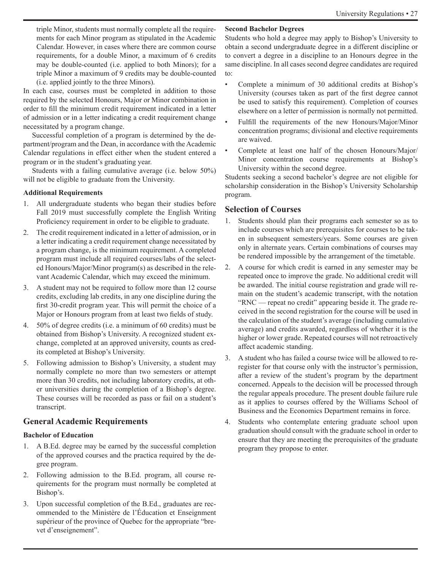triple Minor, students must normally complete all the requirements for each Minor program as stipulated in the Academic Calendar. However, in cases where there are common course requirements, for a double Minor, a maximum of 6 credits may be double-counted (i.e. applied to both Minors); for a triple Minor a maximum of 9 credits may be double-counted (i.e. applied jointly to the three Minors).

In each case, courses must be completed in addition to those required by the selected Honours, Major or Minor combination in order to fill the minimum credit requirement indicated in a letter of admission or in a letter indicating a credit requirement change necessitated by a program change.

Successful completion of a program is determined by the department/program and the Dean, in accordance with the Academic Calendar regulations in effect either when the student entered a program or in the student's graduating year.

Students with a failing cumulative average (i.e. below 50%) will not be eligible to graduate from the University.

#### **Additional Requirements**

- 1. All undergraduate students who began their studies before Fall 2019 must successfully complete the English Writing Proficiency requirement in order to be eligible to graduate.
- 2. The credit requirement indicated in a letter of admission, or in a letter indicating a credit requirement change necessitated by a program change, is the minimum requirement. A completed program must include all required courses/labs of the selected Honours/Major/Minor program(s) as described in the relevant Academic Calendar, which may exceed the minimum.
- 3. A student may not be required to follow more than 12 course credits, excluding lab credits, in any one discipline during the first 30-credit program year. This will permit the choice of a Major or Honours program from at least two fields of study.
- 4. 50% of degree credits (i.e. a minimum of 60 credits) must be obtained from Bishop's University. A recognized student exchange, completed at an approved university, counts as credits completed at Bishop's University.
- 5. Following admission to Bishop's University, a student may normally complete no more than two semesters or attempt more than 30 credits, not including laboratory credits, at other universities during the completion of a Bishop's degree. These courses will be recorded as pass or fail on a student's transcript.

# **General Academic Requirements**

#### **Bachelor of Education**

- 1. A B.Ed. degree may be earned by the successful completion of the approved courses and the practica required by the degree program.
- 2. Following admission to the B.Ed. program, all course requirements for the program must normally be completed at Bishop's.
- 3. Upon successful completion of the B.Ed., graduates are recommended to the Ministère de l'Éducation et Enseignment supérieur of the province of Quebec for the appropriate "brevet d'enseignement".

#### **Second Bachelor Degrees**

Students who hold a degree may apply to Bishop's University to obtain a second undergraduate degree in a different discipline or to convert a degree in a discipline to an Honours degree in the same discipline. In all cases second degree candidates are required to:

- Complete a minimum of 30 additional credits at Bishop's University (courses taken as part of the first degree cannot be used to satisfy this requirement). Completion of courses elsewhere on a letter of permission is normally not permitted.
- Fulfill the requirements of the new Honours/Major/Minor concentration programs; divisional and elective requirements are waived.
- Complete at least one half of the chosen Honours/Major/ Minor concentration course requirements at Bishop's University within the second degree.

Students seeking a second bachelor's degree are not eligible for scholarship consideration in the Bishop's University Scholarship program.

# **Selection of Courses**

- 1. Students should plan their programs each semester so as to include courses which are prerequisites for courses to be taken in subsequent semesters/years. Some courses are given only in alternate years. Certain combinations of courses may be rendered impossible by the arrangement of the timetable.
- 2. A course for which credit is earned in any semester may be repeated once to improve the grade. No additional credit will be awarded. The initial course registration and grade will remain on the student's academic transcript, with the notation "RNC — repeat no credit" appearing beside it. The grade received in the second registration for the course will be used in the calculation of the student's average (including cumulative average) and credits awarded, regardless of whether it is the higher or lower grade. Repeated courses will not retroactively affect academic standing.
- 3. A student who has failed a course twice will be allowed to reregister for that course only with the instructor's permission, after a review of the student's program by the department concerned. Appeals to the decision will be processed through the regular appeals procedure. The present double failure rule as it applies to courses offered by the Williams School of Business and the Economics Department remains in force.
- 4. Students who contemplate entering graduate school upon graduation should consult with the graduate school in order to ensure that they are meeting the prerequisites of the graduate program they propose to enter.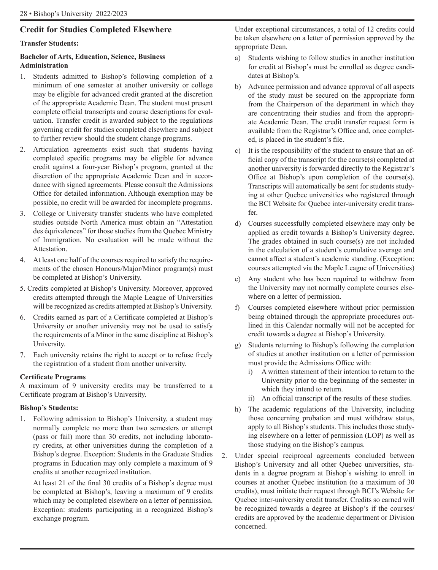# **Credit for Studies Completed Elsewhere**

#### **Transfer Students:**

#### **Bachelor of Arts, Education, Science, Business Administration**

- 1. Students admitted to Bishop's following completion of a minimum of one semester at another university or college may be eligible for advanced credit granted at the discretion of the appropriate Academic Dean. The student must present complete official transcripts and course descriptions for evaluation. Transfer credit is awarded subject to the regulations governing credit for studies completed elsewhere and subject to further review should the student change programs.
- 2. Articulation agreements exist such that students having completed specific programs may be eligible for advance credit against a four-year Bishop's program, granted at the discretion of the appropriate Academic Dean and in accordance with signed agreements. Please consult the Admissions Office for detailed information. Although exemption may be possible, no credit will be awarded for incomplete programs.
- 3. College or University transfer students who have completed studies outside North America must obtain an "Attestation des équivalences" for those studies from the Quebec Ministry of Immigration. No evaluation will be made without the Attestation.
- 4. At least one half of the courses required to satisfy the requirements of the chosen Honours/Major/Minor program(s) must be completed at Bishop's University.
- 5. Credits completed at Bishop's University. Moreover, approved credits attempted through the Maple League of Universities will be recognized as credits attempted at Bishop's University.
- 6. Credits earned as part of a Certificate completed at Bishop's University or another university may not be used to satisfy the requirements of a Minor in the same discipline at Bishop's University.
- 7. Each university retains the right to accept or to refuse freely the registration of a student from another university.

#### **Certificate Programs**

A maximum of 9 university credits may be transferred to a Certificate program at Bishop's University.

#### **Bishop's Students:**

1. Following admission to Bishop's University, a student may normally complete no more than two semesters or attempt (pass or fail) more than 30 credits, not including laboratory credits, at other universities during the completion of a Bishop's degree. Exception: Students in the Graduate Studies programs in Education may only complete a maximum of 9 credits at another recognized institution.

At least 21 of the final 30 credits of a Bishop's degree must be completed at Bishop's, leaving a maximum of 9 credits which may be completed elsewhere on a letter of permission. Exception: students participating in a recognized Bishop's exchange program.

Under exceptional circumstances, a total of 12 credits could be taken elsewhere on a letter of permission approved by the appropriate Dean.

- a) Students wishing to follow studies in another institution for credit at Bishop's must be enrolled as degree candidates at Bishop's.
- b) Advance permission and advance approval of all aspects of the study must be secured on the appropriate form from the Chairperson of the department in which they are concentrating their studies and from the appropriate Academic Dean. The credit transfer request form is available from the Registrar's Office and, once completed, is placed in the student's file.
- c) It is the responsibility of the student to ensure that an official copy of the transcript for the course(s) completed at another university is forwarded directly to the Registrar's Office at Bishop's upon completion of the course(s). Transcripts will automatically be sent for students studying at other Quebec universities who registered through the BCI Website for Quebec inter-university credit transfer.
- d) Courses successfully completed elsewhere may only be applied as credit towards a Bishop's University degree. The grades obtained in such course(s) are not included in the calculation of a student's cumulative average and cannot affect a student's academic standing. (Exception: courses attempted via the Maple League of Universities)
- e) Any student who has been required to withdraw from the University may not normally complete courses elsewhere on a letter of permission.
- f) Courses completed elsewhere without prior permission being obtained through the appropriate procedures outlined in this Calendar normally will not be accepted for credit towards a degree at Bishop's University.
- g) Students returning to Bishop's following the completion of studies at another institution on a letter of permission must provide the Admissions Office with:
	- i) A written statement of their intention to return to the University prior to the beginning of the semester in which they intend to return.
	- ii) An official transcript of the results of these studies.
- h) The academic regulations of the University, including those concerning probation and must withdraw status, apply to all Bishop's students. This includes those studying elsewhere on a letter of permission (LOP) as well as those studying on the Bishop's campus.
- 2. Under special reciprocal agreements concluded between Bishop's University and all other Quebec universities, students in a degree program at Bishop's wishing to enroll in courses at another Quebec institution (to a maximum of 30 credits), must initiate their request through BCI's Website for Quebec inter-university credit transfer. Credits so earned will be recognized towards a degree at Bishop's if the courses/ credits are approved by the academic department or Division concerned.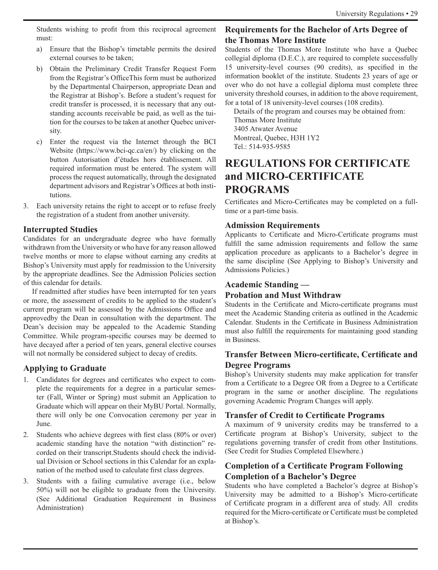Students wishing to profit from this reciprocal agreement must:

- a) Ensure that the Bishop's timetable permits the desired external courses to be taken;
- b) Obtain the Preliminary Credit Transfer Request Form from the Registrar's OfficeThis form must be authorized by the Departmental Chairperson, appropriate Dean and the Registrar at Bishop's. Before a student's request for credit transfer is processed, it is necessary that any outstanding accounts receivable be paid, as well as the tuition for the courses to be taken at another Quebec university.
- c) Enter the request via the Internet through the BCI Website (https://www.bci-qc.ca/en/) by clicking on the button Autorisation d'études hors établissement. All required information must be entered. The system will process the request automatically, through the designated department advisors and Registrar's Offices at both institutions.
- 3. Each university retains the right to accept or to refuse freely the registration of a student from another university.

# **Interrupted Studies**

Candidates for an undergraduate degree who have formally withdrawn from the University or who have for any reason allowed twelve months or more to elapse without earning any credits at Bishop's University must apply for readmission to the University by the appropriate deadlines. See the Admission Policies section of this calendar for details.

If readmitted after studies have been interrupted for ten years or more, the assessment of credits to be applied to the student's current program will be assessed by the Admissions Office and approvedby the Dean in consultation with the department. The Dean's decision may be appealed to the Academic Standing Committee. While program-specific courses may be deemed to have decayed after a period of ten years, general elective courses will not normally be considered subject to decay of credits.

# **Applying to Graduate**

- 1. Candidates for degrees and certificates who expect to complete the requirements for a degree in a particular semester (Fall, Winter or Spring) must submit an Application to Graduate which will appear on their MyBU Portal. Normally, there will only be one Convocation ceremony per year in June.
- 2. Students who achieve degrees with first class (80% or over) academic standing have the notation "with distinction" recorded on their transcript.Students should check the individual Division or School sections in this Calendar for an explanation of the method used to calculate first class degrees.
- 3. Students with a failing cumulative average (i.e., below 50%) will not be eligible to graduate from the University. (See Additional Graduation Requirement in Business Administration)

# **Requirements for the Bachelor of Arts Degree of the Thomas More Institute**

Students of the Thomas More Institute who have a Quebec collegial diploma (D.E.C.), are required to complete successfully 15 university-level courses (90 credits), as specified in the information booklet of the institute. Students 23 years of age or over who do not have a collegial diploma must complete three university threshold courses, in addition to the above requirement, for a total of 18 university-level courses (108 credits).

Details of the program and courses may be obtained from: Thomas More Institute 3405 Atwater Avenue Montreal, Quebec, H3H 1Y2 Tel.: 514-935-9585

# **REGULATIONS FOR CERTIFICATE and MICRO-CERTIFICATE PROGRAMS**

Certificates and Micro-Certificates may be completed on a fulltime or a part-time basis.

# **Admission Requirements**

Applicants to Certificate and Micro-Certificate programs must fulfill the same admission requirements and follow the same application procedure as applicants to a Bachelor's degree in the same discipline (See Applying to Bishop's University and Admissions Policies.)

# **Academic Standing —**

# **Probation and Must Withdraw**

Students in the Certificate and Micro-certificate programs must meet the Academic Standing criteria as outlined in the Academic Calendar. Students in the Certificate in Business Administration must also fulfill the requirements for maintaining good standing in Business.

# **Transfer Between Micro-certificate, Certificate and Degree Programs**

Bishop's University students may make application for transfer from a Certificate to a Degree OR from a Degree to a Certificate program in the same or another discipline. The regulations governing Academic Program Changes will apply.

# **Transfer of Credit to Certificate Programs**

A maximum of 9 university credits may be transferred to a Certificate program at Bishop's University, subject to the regulations governing transfer of credit from other Institutions. (See Credit for Studies Completed Elsewhere.)

# **Completion of a Certificate Program Following Completion of a Bachelor's Degree**

Students who have completed a Bachelor's degree at Bishop's University may be admitted to a Bishop's Micro-certificate of Certificate program in a different area of study. All credits required for the Micro-certificate or Certificate must be completed at Bishop's.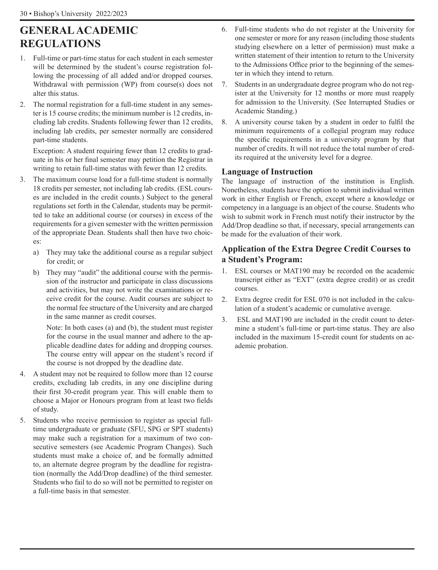# **GENERAL ACADEMIC REGULATIONS**

- 1. Full-time or part-time status for each student in each semester will be determined by the student's course registration following the processing of all added and/or dropped courses. Withdrawal with permission (WP) from course(s) does not alter this status.
- 2. The normal registration for a full-time student in any semester is 15 course credits; the minimum number is 12 credits, including lab credits. Students following fewer than 12 credits, including lab credits, per semester normally are considered part-time students.

Exception: A student requiring fewer than 12 credits to graduate in his or her final semester may petition the Registrar in writing to retain full-time status with fewer than 12 credits.

- 3. The maximum course load for a full-time student is normally 18 credits per semester, not including lab credits. (ESL courses are included in the credit counts.) Subject to the general regulations set forth in the Calendar, students may be permitted to take an additional course (or courses) in excess of the requirements for a given semester with the written permission of the appropriate Dean. Students shall then have two choices:
	- a) They may take the additional course as a regular subject for credit; or
	- b) They may "audit" the additional course with the permission of the instructor and participate in class discussions and activities, but may not write the examinations or receive credit for the course. Audit courses are subject to the normal fee structure of the University and are charged in the same manner as credit courses.

Note: In both cases (a) and (b), the student must register for the course in the usual manner and adhere to the applicable deadline dates for adding and dropping courses. The course entry will appear on the student's record if the course is not dropped by the deadline date.

- 4. A student may not be required to follow more than 12 course credits, excluding lab credits, in any one discipline during their first 30-credit program year. This will enable them to choose a Major or Honours program from at least two fields of study.
- 5. Students who receive permission to register as special fulltime undergraduate or graduate (SFU, SPG or SPT students) may make such a registration for a maximum of two consecutive semesters (see Academic Program Changes). Such students must make a choice of, and be formally admitted to, an alternate degree program by the deadline for registration (normally the Add/Drop deadline) of the third semester. Students who fail to do so will not be permitted to register on a full-time basis in that semester.
- 6. Full-time students who do not register at the University for one semester or more for any reason (including those students studying elsewhere on a letter of permission) must make a written statement of their intention to return to the University to the Admissions Office prior to the beginning of the semester in which they intend to return.
- 7. Students in an undergraduate degree program who do not register at the University for 12 months or more must reapply for admission to the University. (See Interrupted Studies or Academic Standing.)
- 8. A university course taken by a student in order to fulfil the minimum requirements of a collegial program may reduce the specific requirements in a university program by that number of credits. It will not reduce the total number of credits required at the university level for a degree.

# **Language of Instruction**

The language of instruction of the institution is English. Nonetheless, students have the option to submit individual written work in either English or French, except where a knowledge or competency in a language is an object of the course. Students who wish to submit work in French must notify their instructor by the Add/Drop deadline so that, if necessary, special arrangements can be made for the evaluation of their work.

# **Application of the Extra Degree Credit Courses to a Student's Program:**

- 1. ESL courses or MAT190 may be recorded on the academic transcript either as "EXT" (extra degree credit) or as credit courses.
- 2. Extra degree credit for ESL 070 is not included in the calculation of a student's academic or cumulative average.
- 3. ESL and MAT190 are included in the credit count to determine a student's full-time or part-time status. They are also included in the maximum 15-credit count for students on academic probation.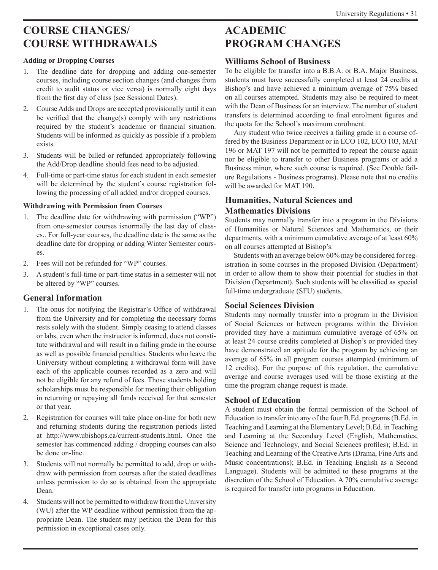# **COURSE CHANGES/ COURSE WITHDRAWALS**

#### **Adding or Dropping Courses**

- 1. The deadline date for dropping and adding one-semester courses, including course section changes (and changes from credit to audit status or vice versa) is normally eight days from the first day of class (see Sessional Dates).
- 2. Course Adds and Drops are accepted provisionally until it can be verified that the change(s) comply with any restrictions required by the student's academic or financial situation. Students will be informed as quickly as possible if a problem exists.
- 3. Students will be billed or refunded appropriately following the Add/Drop deadline should fees need to be adjusted.
- 4. Full-time or part-time status for each student in each semester will be determined by the student's course registration following the processing of all added and/or dropped courses.

#### **Withdrawing with Permission from Courses**

- 1. The deadline date for withdrawing with permission ("WP") from one-semester courses isnormally the last day of classes.. For full-year courses, the deadline date is the same as the deadline date for dropping or adding Winter Semester courses.
- 2. Fees will not be refunded for "WP" courses.
- 3. A student's full-time or part-time status in a semester will not be altered by "WP" courses.

# **General Information**

- The onus for notifying the Registrar's Office of withdrawal from the University and for completing the necessary forms rests solely with the student. Simply ceasing to attend classes or labs, even when the instructor is informed, does not constitute withdrawal and will result in a failing grade in the course as well as possible financial penalties. Students who leave the University without completing a withdrawal form will have each of the applicable courses recorded as a zero and will not be eligible for any refund of fees. Those students holding scholarships must be responsible for meeting their obligation in returning or repaying all funds received for that semester or that year.
- 2. Registration for courses will take place on-line for both new and returning students during the registration periods listed at http://www.ubishops.ca/current-students.html. Once the semester has commenced adding / dropping courses can also be done on-line.
- 3. Students will not normally be permitted to add, drop or withdraw with permission from courses after the stated deadlines unless permission to do so is obtained from the appropriate Dean.
- 4. Students will not be permitted to withdraw from the University (WU) after the WP deadline without permission from the appropriate Dean. The student may petition the Dean for this permission in exceptional cases only.

# **ACADEMIC PROGRAM CHANGES**

# **Williams School of Business**

To be eligible for transfer into a B.B.A. or B.A. Major Business, students must have successfully completed at least 24 credits at Bishop's and have achieved a minimum average of 75% based on all courses attempted. Students may also be required to meet with the Dean of Business for an interview. The number of student transfers is determined according to final enrolment figures and the quota for the School's maximum enrolment.

Any student who twice receives a failing grade in a course offered by the Business Department or in ECO 102, ECO 103, MAT 196 or MAT 197 will not be permitted to repeat the course again nor be eligible to transfer to other Business programs or add a Business minor, where such course is required. (See Double failure Regulations - Business programs). Please note that no credits will be awarded for MAT 190.

# **Humanities, Natural Sciences and Mathematics Divisions**

Students may normally transfer into a program in the Divisions of Humanities or Natural Sciences and Mathematics, or their departments, with a minimum cumulative average of at least 60% on all courses attempted at Bishop's.

Students with an average below 60% may be considered for registration in some courses in the proposed Division (Department) in order to allow them to show their potential for studies in that Division (Department). Such students will be classified as special full-time undergraduate (SFU) students.

# **Social Sciences Division**

Students may normally transfer into a program in the Division of Social Sciences or between programs within the Division provided they have a minimum cumulative average of 65% on at least 24 course credits completed at Bishop's or provided they have demonstrated an aptitude for the program by achieving an average of 65% in all program courses attempted (minimum of 12 credits). For the purpose of this regulation, the cumulative average and course averages used will be those existing at the time the program change request is made.

# **School of Education**

A student must obtain the formal permission of the School of Education to transfer into any of the four B.Ed. programs (B.Ed. in Teaching and Learning at the Elementary Level; B.Ed. in Teaching and Learning at the Secondary Level (English, Mathematics, Science and Technology, and Social Sciences profiles); B.Ed. in Teaching and Learning of the Creative Arts (Drama, Fine Arts and Music concentrations); B.Ed. in Teaching English as a Second Language). Students will be admitted to these programs at the discretion of the School of Education. A 70% cumulative average is required for transfer into programs in Education.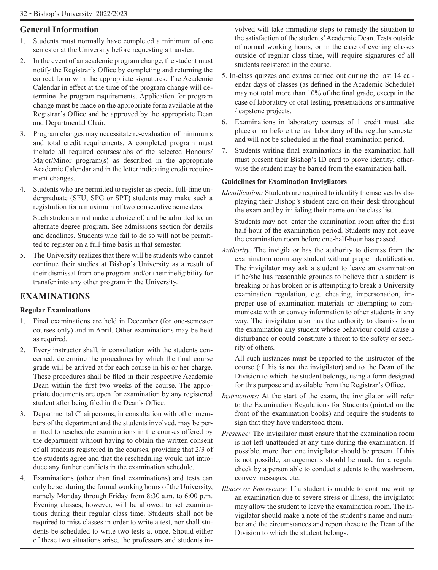# **General Information**

- 1. Students must normally have completed a minimum of one semester at the University before requesting a transfer.
- 2. In the event of an academic program change, the student must notify the Registrar's Office by completing and returning the correct form with the appropriate signatures. The Academic Calendar in effect at the time of the program change will determine the program requirements. Application for program change must be made on the appropriate form available at the Registrar's Office and be approved by the appropriate Dean and Departmental Chair.
- 3. Program changes may necessitate re-evaluation of minimums and total credit requirements. A completed program must include all required courses/labs of the selected Honours/ Major/Minor program(s) as described in the appropriate Academic Calendar and in the letter indicating credit requirement changes.
- 4. Students who are permitted to register as special full-time undergraduate (SFU, SPG or SPT) students may make such a registration for a maximum of two consecutive semesters.

Such students must make a choice of, and be admitted to, an alternate degree program. See admissions section for details and deadlines. Students who fail to do so will not be permitted to register on a full-time basis in that semester.

5. The University realizes that there will be students who cannot continue their studies at Bishop's University as a result of their dismissal from one program and/or their ineligibility for transfer into any other program in the University.

# **EXAMINATIONS**

# **Regular Examinations**

- 1. Final examinations are held in December (for one-semester courses only) and in April. Other examinations may be held as required.
- 2. Every instructor shall, in consultation with the students concerned, determine the procedures by which the final course grade will be arrived at for each course in his or her charge. These procedures shall be filed in their respective Academic Dean within the first two weeks of the course. The appropriate documents are open for examination by any registered student after being filed in the Dean's Office.
- 3. Departmental Chairpersons, in consultation with other members of the department and the students involved, may be permitted to reschedule examinations in the courses offered by the department without having to obtain the written consent of all students registered in the courses, providing that 2/3 of the students agree and that the rescheduling would not introduce any further conflicts in the examination schedule.
- 4. Examinations (other than final examinations) and tests can only be set during the formal working hours of the University, namely Monday through Friday from 8:30 a.m. to 6:00 p.m. Evening classes, however, will be allowed to set examinations during their regular class time. Students shall not be required to miss classes in order to write a test, nor shall students be scheduled to write two tests at once. Should either of these two situations arise, the professors and students in-

volved will take immediate steps to remedy the situation to the satisfaction of the students' Academic Dean. Tests outside of normal working hours, or in the case of evening classes outside of regular class time, will require signatures of all students registered in the course.

- 5. In-class quizzes and exams carried out during the last 14 calendar days of classes (as defined in the Academic Schedule) may not total more than 10% of the final grade, except in the case of laboratory or oral testing, presentations or summative / capstone projects.
- 6. Examinations in laboratory courses of 1 credit must take place on or before the last laboratory of the regular semester and will not be scheduled in the final examination period.
- 7. Students writing final examinations in the examination hall must present their Bishop's ID card to prove identity; otherwise the student may be barred from the examination hall.

# **Guidelines for Examination Invigilators**

*Identification:* Students are required to identify themselves by displaying their Bishop's student card on their desk throughout the exam and by initialing their name on the class list.

Students may not enter the examination room after the first half-hour of the examination period. Students may not leave the examination room before one-half-hour has passed.

*Authority:* The invigilator has the authority to dismiss from the examination room any student without proper identification. The invigilator may ask a student to leave an examination if he/she has reasonable grounds to believe that a student is breaking or has broken or is attempting to break a University examination regulation, e.g. cheating, impersonation, improper use of examination materials or attempting to communicate with or convey information to other students in any way. The invigilator also has the authority to dismiss from the examination any student whose behaviour could cause a disturbance or could constitute a threat to the safety or security of others.

All such instances must be reported to the instructor of the course (if this is not the invigilator) and to the Dean of the Division to which the student belongs, using a form designed for this purpose and available from the Registrar's Office.

- *Instructions:* At the start of the exam, the invigilator will refer to the Examination Regulations for Students (printed on the front of the examination books) and require the students to sign that they have understood them.
- *Presence:* The invigilator must ensure that the examination room is not left unattended at any time during the examination. If possible, more than one invigilator should be present. If this is not possible, arrangements should be made for a regular check by a person able to conduct students to the washroom, convey messages, etc.
- *Illness or Emergency:* If a student is unable to continue writing an examination due to severe stress or illness, the invigilator may allow the student to leave the examination room. The invigilator should make a note of the student's name and number and the circumstances and report these to the Dean of the Division to which the student belongs.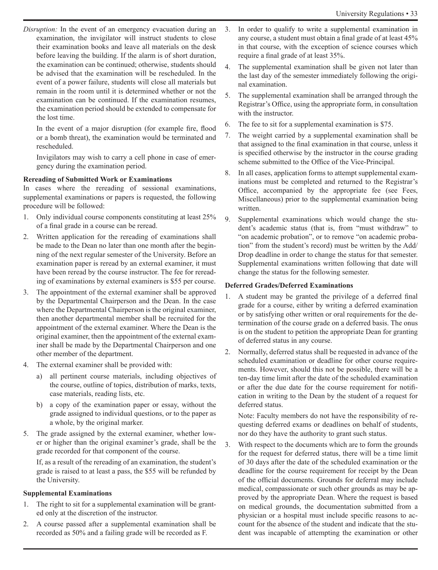*Disruption:* In the event of an emergency evacuation during an examination, the invigilator will instruct students to close their examination books and leave all materials on the desk before leaving the building. If the alarm is of short duration, the examination can be continued; otherwise, students should be advised that the examination will be rescheduled. In the event of a power failure, students will close all materials but remain in the room until it is determined whether or not the examination can be continued. If the examination resumes, the examination period should be extended to compensate for the lost time.

In the event of a major disruption (for example fire, flood or a bomb threat), the examination would be terminated and rescheduled.

Invigilators may wish to carry a cell phone in case of emergency during the examination period.

#### **Rereading of Submitted Work or Examinations**

In cases where the rereading of sessional examinations, supplemental examinations or papers is requested, the following procedure will be followed:

- 1. Only individual course components constituting at least 25% of a final grade in a course can be reread.
- 2. Written application for the rereading of examinations shall be made to the Dean no later than one month after the beginning of the next regular semester of the University. Before an examination paper is reread by an external examiner, it must have been reread by the course instructor. The fee for rereading of examinations by external examiners is \$55 per course.
- 3. The appointment of the external examiner shall be approved by the Departmental Chairperson and the Dean. In the case where the Departmental Chairperson is the original examiner, then another departmental member shall be recruited for the appointment of the external examiner. Where the Dean is the original examiner, then the appointment of the external examiner shall be made by the Departmental Chairperson and one other member of the department.
- 4. The external examiner shall be provided with:
	- all pertinent course materials, including objectives of the course, outline of topics, distribution of marks, texts, case materials, reading lists, etc.
	- b) a copy of the examination paper or essay, without the grade assigned to individual questions, or to the paper as a whole, by the original marker.
- 5. The grade assigned by the external examiner, whether lower or higher than the original examiner's grade, shall be the grade recorded for that component of the course.

If, as a result of the rereading of an examination, the student's grade is raised to at least a pass, the \$55 will be refunded by the University.

#### **Supplemental Examinations**

- 1. The right to sit for a supplemental examination will be granted only at the discretion of the instructor.
- 2. A course passed after a supplemental examination shall be recorded as 50% and a failing grade will be recorded as F.
- 3. In order to qualify to write a supplemental examination in any course, a student must obtain a final grade of at least 45% in that course, with the exception of science courses which require a final grade of at least 35%.
- 4. The supplemental examination shall be given not later than the last day of the semester immediately following the original examination.
- 5. The supplemental examination shall be arranged through the Registrar's Office, using the appropriate form, in consultation with the instructor.
- 6. The fee to sit for a supplemental examination is \$75.
- 7. The weight carried by a supplemental examination shall be that assigned to the final examination in that course, unless it is specified otherwise by the instructor in the course grading scheme submitted to the Office of the Vice-Principal.
- 8. In all cases, application forms to attempt supplemental examinations must be completed and returned to the Registrar's Office, accompanied by the appropriate fee (see Fees, Miscellaneous) prior to the supplemental examination being written.
- 9. Supplemental examinations which would change the student's academic status (that is, from "must withdraw" to "on academic probation", or to remove "on academic probation" from the student's record) must be written by the Add/ Drop deadline in order to change the status for that semester. Supplemental examinations written following that date will change the status for the following semester.

# **Deferred Grades/Deferred Examinations**

- 1. A student may be granted the privilege of a deferred final grade for a course, either by writing a deferred examination or by satisfying other written or oral requirements for the determination of the course grade on a deferred basis. The onus is on the student to petition the appropriate Dean for granting of deferred status in any course.
- 2. Normally, deferred status shall be requested in advance of the scheduled examination or deadline for other course requirements. However, should this not be possible, there will be a ten-day time limit after the date of the scheduled examination or after the due date for the course requirement for notification in writing to the Dean by the student of a request for deferred status.

Note: Faculty members do not have the responsibility of requesting deferred exams or deadlines on behalf of students, nor do they have the authority to grant such status.

3. With respect to the documents which are to form the grounds for the request for deferred status, there will be a time limit of 30 days after the date of the scheduled examination or the deadline for the course requirement for receipt by the Dean of the official documents. Grounds for deferral may include medical, compassionate or such other grounds as may be approved by the appropriate Dean. Where the request is based on medical grounds, the documentation submitted from a physician or a hospital must include specific reasons to account for the absence of the student and indicate that the student was incapable of attempting the examination or other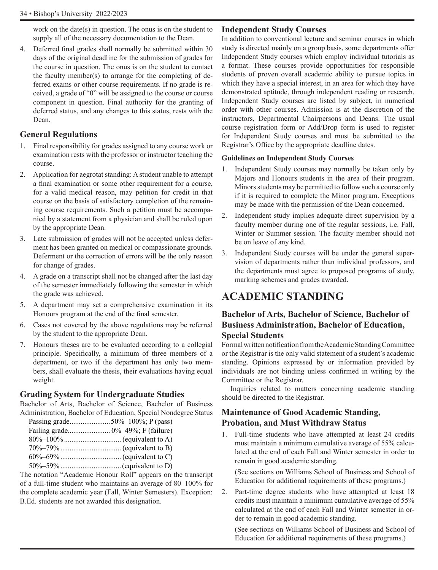work on the date(s) in question. The onus is on the student to supply all of the necessary documentation to the Dean.

4. Deferred final grades shall normally be submitted within 30 days of the original deadline for the submission of grades for the course in question. The onus is on the student to contact the faculty member(s) to arrange for the completing of deferred exams or other course requirements. If no grade is received, a grade of "0" will be assigned to the course or course component in question. Final authority for the granting of deferred status, and any changes to this status, rests with the Dean.

# **General Regulations**

- 1. Final responsibility for grades assigned to any course work or examination rests with the professor or instructor teaching the course.
- 2. Application for aegrotat standing: A student unable to attempt a final examination or some other requirement for a course, for a valid medical reason, may petition for credit in that course on the basis of satisfactory completion of the remaining course requirements. Such a petition must be accompanied by a statement from a physician and shall be ruled upon by the appropriate Dean.
- 3. Late submission of grades will not be accepted unless deferment has been granted on medical or compassionate grounds. Deferment or the correction of errors will be the only reason for change of grades.
- 4. A grade on a transcript shall not be changed after the last day of the semester immediately following the semester in which the grade was achieved.
- 5. A department may set a comprehensive examination in its Honours program at the end of the final semester.
- 6. Cases not covered by the above regulations may be referred by the student to the appropriate Dean.
- 7. Honours theses are to be evaluated according to a collegial principle. Specifically, a minimum of three members of a department, or two if the department has only two members, shall evaluate the thesis, their evaluations having equal weight.

# **Grading System for Undergraduate Studies**

Bachelor of Arts, Bachelor of Science, Bachelor of Business Administration, Bachelor of Education, Special Nondegree Status

| a notation "A codomic Honour Doll" ennearg on |
|-----------------------------------------------|

The notation "Academic Honour Roll" appears on the transcript of a full-time student who maintains an average of 80–100% for the complete academic year (Fall, Winter Semesters). Exception: B.Ed. students are not awarded this designation.

#### **Independent Study Courses**

In addition to conventional lecture and seminar courses in which study is directed mainly on a group basis, some departments offer Independent Study courses which employ individual tutorials as a format. These courses provide opportunities for responsible students of proven overall academic ability to pursue topics in which they have a special interest, in an area for which they have demonstrated aptitude, through independent reading or research. Independent Study courses are listed by subject, in numerical order with other courses. Admission is at the discretion of the instructors, Departmental Chairpersons and Deans. The usual course registration form or Add/Drop form is used to register for Independent Study courses and must be submitted to the Registrar's Office by the appropriate deadline dates.

#### **Guidelines on Independent Study Courses**

- 1. Independent Study courses may normally be taken only by Majors and Honours students in the area of their program. Minors students may be permitted to follow such a course only if it is required to complete the Minor program. Exceptions may be made with the permission of the Dean concerned.
- 2. Independent study implies adequate direct supervision by a faculty member during one of the regular sessions, i.e. Fall, Winter or Summer session. The faculty member should not be on leave of any kind.
- 3. Independent Study courses will be under the general supervision of departments rather than individual professors, and the departments must agree to proposed programs of study, marking schemes and grades awarded.

# **ACADEMIC STANDING**

# **Bachelor of Arts, Bachelor of Science, Bachelor of Business Administration, Bachelor of Education, Special Students**

Formal written notification from the Academic Standing Committee or the Registrar is the only valid statement of a student's academic standing. Opinions expressed by or information provided by individuals are not binding unless confirmed in writing by the Committee or the Registrar.

Inquiries related to matters concerning academic standing should be directed to the Registrar.

# **Maintenance of Good Academic Standing, Probation, and Must Withdraw Status**

1. Full-time students who have attempted at least 24 credits must maintain a minimum cumulative average of 55% calculated at the end of each Fall and Winter semester in order to remain in good academic standing.

(See sections on Williams School of Business and School of Education for additional requirements of these programs.)

2. Part-time degree students who have attempted at least 18 credits must maintain a minimum cumulative average of 55% calculated at the end of each Fall and Winter semester in order to remain in good academic standing.

(See sections on Williams School of Business and School of Education for additional requirements of these programs.)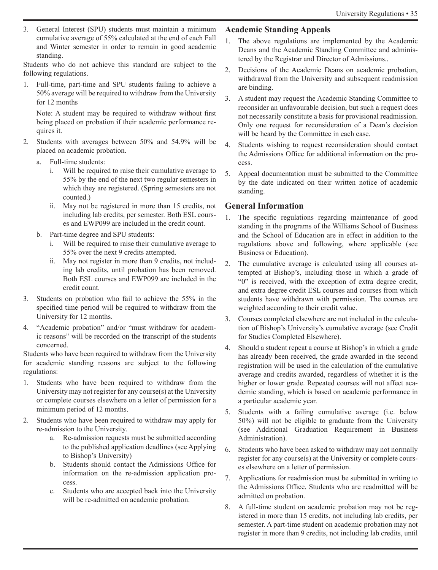3. General Interest (SPU) students must maintain a minimum cumulative average of 55% calculated at the end of each Fall and Winter semester in order to remain in good academic standing.

Students who do not achieve this standard are subject to the following regulations.

1. Full-time, part-time and SPU students failing to achieve a 50% average will be required to withdraw from the University for 12 months

Note: A student may be required to withdraw without first being placed on probation if their academic performance requires it.

- 2. Students with averages between 50% and 54.9% will be placed on academic probation.
	- a. Full-time students:
		- i. Will be required to raise their cumulative average to 55% by the end of the next two regular semesters in which they are registered. (Spring semesters are not counted.)
		- ii. May not be registered in more than 15 credits, not including lab credits, per semester. Both ESL courses and EWP099 are included in the credit count.
	- b. Part-time degree and SPU students:
		- i. Will be required to raise their cumulative average to 55% over the next 9 credits attempted.
		- ii. May not register in more than 9 credits, not including lab credits, until probation has been removed. Both ESL courses and EWP099 are included in the credit count.
- 3. Students on probation who fail to achieve the 55% in the specified time period will be required to withdraw from the University for 12 months.
- 4. "Academic probation" and/or "must withdraw for academic reasons" will be recorded on the transcript of the students concerned.

Students who have been required to withdraw from the University for academic standing reasons are subject to the following regulations:

- 1. Students who have been required to withdraw from the University may not register for any course(s) at the University or complete courses elsewhere on a letter of permission for a minimum period of 12 months.
- 2. Students who have been required to withdraw may apply for re-admission to the University.
	- a. Re-admission requests must be submitted according to the published application deadlines (see Applying to Bishop's University)
	- b. Students should contact the Admissions Office for information on the re-admission application process.
	- c. Students who are accepted back into the University will be re-admitted on academic probation.

# **Academic Standing Appeals**

- 1. The above regulations are implemented by the Academic Deans and the Academic Standing Committee and administered by the Registrar and Director of Admissions..
- 2. Decisions of the Academic Deans on academic probation, withdrawal from the University and subsequent readmission are binding.
- 3. A student may request the Academic Standing Committee to reconsider an unfavourable decision, but such a request does not necessarily constitute a basis for provisional readmission. Only one request for reconsideration of a Dean's decision will be heard by the Committee in each case.
- 4. Students wishing to request reconsideration should contact the Admissions Office for additional information on the process.
- 5. Appeal documentation must be submitted to the Committee by the date indicated on their written notice of academic standing.

# **General Information**

- 1. The specific regulations regarding maintenance of good standing in the programs of the Williams School of Business and the School of Education are in effect in addition to the regulations above and following, where applicable (see Business or Education).
- 2. The cumulative average is calculated using all courses attempted at Bishop's, including those in which a grade of "0" is received, with the exception of extra degree credit, and extra degree credit ESL courses and courses from which students have withdrawn with permission. The courses are weighted according to their credit value.
- 3. Courses completed elsewhere are not included in the calculation of Bishop's University's cumulative average (see Credit for Studies Completed Elsewhere).
- 4. Should a student repeat a course at Bishop's in which a grade has already been received, the grade awarded in the second registration will be used in the calculation of the cumulative average and credits awarded, regardless of whether it is the higher or lower grade. Repeated courses will not affect academic standing, which is based on academic performance in a particular academic year.
- 5. Students with a failing cumulative average (i.e. below 50%) will not be eligible to graduate from the University (see Additional Graduation Requirement in Business Administration).
- 6. Students who have been asked to withdraw may not normally register for any course(s) at the University or complete courses elsewhere on a letter of permission.
- 7. Applications for readmission must be submitted in writing to the Admissions Office. Students who are readmitted will be admitted on probation.
- 8. A full-time student on academic probation may not be registered in more than 15 credits, not including lab credits, per semester. A part-time student on academic probation may not register in more than 9 credits, not including lab credits, until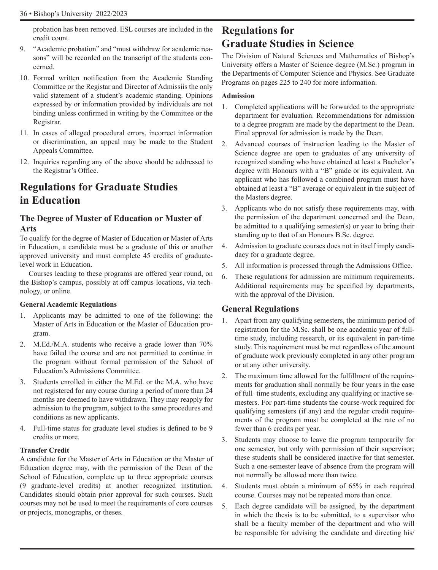probation has been removed. ESL courses are included in the credit count.

- 9. "Academic probation" and "must withdraw for academic reasons" will be recorded on the transcript of the students concerned.
- 10. Formal written notification from the Academic Standing Committee or the Registar and Director of Admissiis the only valid statement of a student's academic standing. Opinions expressed by or information provided by individuals are not binding unless confirmed in writing by the Committee or the Registrar.
- 11. In cases of alleged procedural errors, incorrect information or discrimination, an appeal may be made to the Student Appeals Committee.
- 12. Inquiries regarding any of the above should be addressed to the Registrar's Office.

# **Regulations for Graduate Studies in Education**

# **The Degree of Master of Education or Master of Arts**

To qualify for the degree of Master of Education or Master of Arts in Education, a candidate must be a graduate of this or another approved university and must complete 45 credits of graduatelevel work in Education.

Courses leading to these programs are offered year round, on the Bishop's campus, possibly at off campus locations, via technology, or online.

#### **General Academic Regulations**

- 1. Applicants may be admitted to one of the following: the Master of Arts in Education or the Master of Education program.
- 2. M.Ed./M.A. students who receive a grade lower than 70% have failed the course and are not permitted to continue in the program without formal permission of the School of Education's Admissions Committee.
- 3. Students enrolled in either the M.Ed. or the M.A. who have not registered for any course during a period of more than 24 months are deemed to have withdrawn. They may reapply for admission to the program, subject to the same procedures and conditions as new applicants.
- 4. Full-time status for graduate level studies is defined to be 9 credits or more.

#### **Transfer Credit**

A candidate for the Master of Arts in Education or the Master of Education degree may, with the permission of the Dean of the School of Education, complete up to three appropriate courses (9 graduate-level credits) at another recognized institution. Candidates should obtain prior approval for such courses. Such courses may not be used to meet the requirements of core courses or projects, monographs, or theses.

# **Regulations for Graduate Studies in Science**

The Division of Natural Sciences and Mathematics of Bishop's University offers a Master of Science degree (M.Sc.) program in the Departments of Computer Science and Physics. See Graduate Programs on pages 225 to 240 for more information.

### **Admission**

- 1. Completed applications will be forwarded to the appropriate department for evaluation. Recommendations for admission to a degree program are made by the department to the Dean. Final approval for admission is made by the Dean.
- 2. Advanced courses of instruction leading to the Master of Science degree are open to graduates of any university of recognized standing who have obtained at least a Bachelor's degree with Honours with a "B" grade or its equivalent. An applicant who has followed a combined program must have obtained at least a "B" average or equivalent in the subject of the Masters degree.
- 3. Applicants who do not satisfy these requirements may, with the permission of the department concerned and the Dean, be admitted to a qualifying semester(s) or year to bring their standing up to that of an Honours B.Sc. degree.
- 4. Admission to graduate courses does not in itself imply candidacy for a graduate degree.
- 5. All information is processed through the Admissions Office.
- 6. These regulations for admission are minimum requirements. Additional requirements may be specified by departments, with the approval of the Division.

# **General Regulations**

- Apart from any qualifying semesters, the minimum period of registration for the M.Sc. shall be one academic year of fulltime study, including research, or its equivalent in part-time study. This requirement must be met regardless of the amount of graduate work previously completed in any other program or at any other university.
- 2. The maximum time allowed for the fulfillment of the requirements for graduation shall normally be four years in the case of full–time students, excluding any qualifying or inactive semesters. For part-time students the course-work required for qualifying semesters (if any) and the regular credit requirements of the program must be completed at the rate of no fewer than 6 credits per year.
- 3. Students may choose to leave the program temporarily for one semester, but only with permission of their supervisor; these students shall be considered inactive for that semester. Such a one-semester leave of absence from the program will not normally be allowed more than twice.
- 4. Students must obtain a minimum of 65% in each required course. Courses may not be repeated more than once.
- 5. Each degree candidate will be assigned, by the department in which the thesis is to be submitted, to a supervisor who shall be a faculty member of the department and who will be responsible for advising the candidate and directing his/